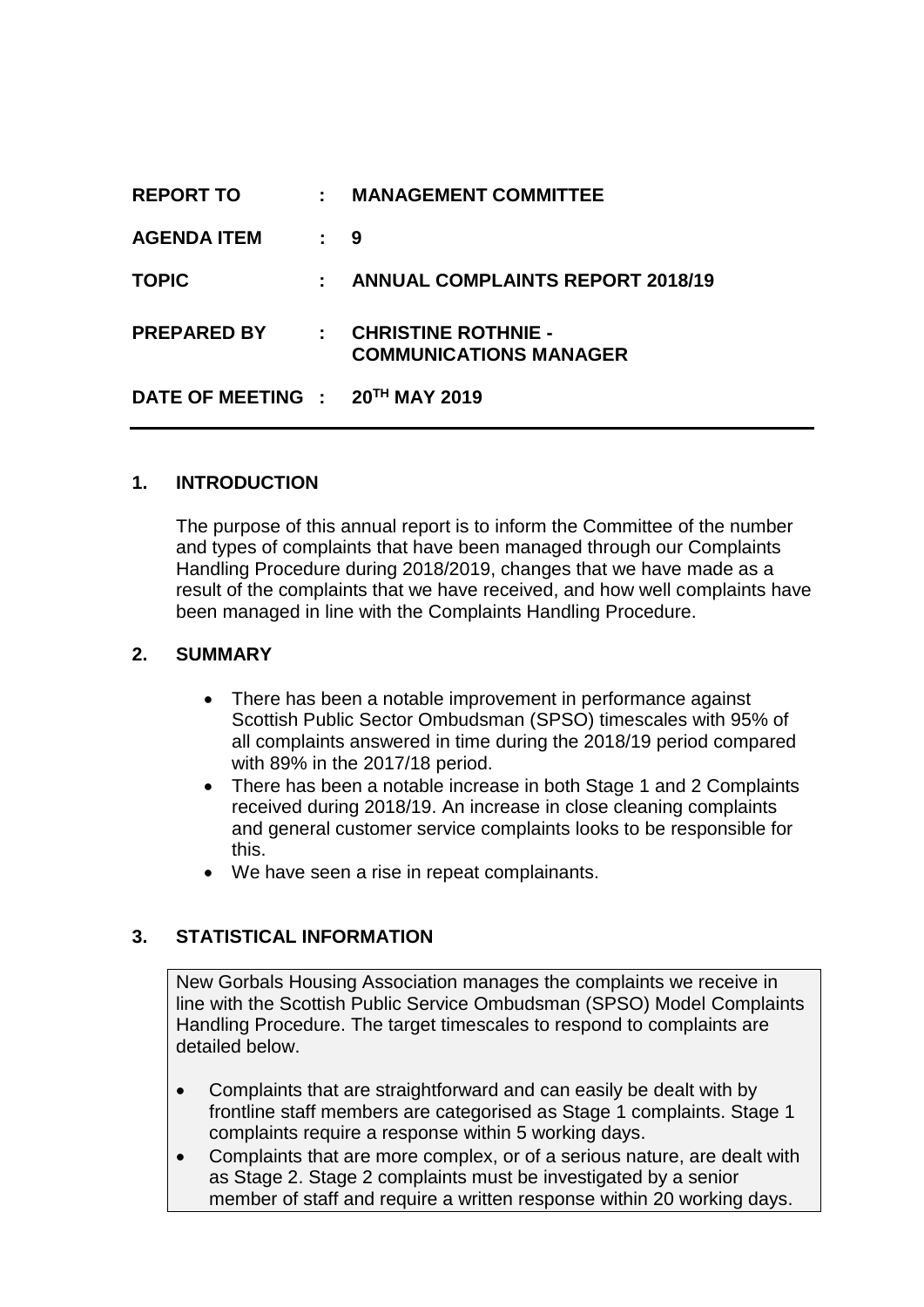| <b>REPORT TO</b>                | $\mathbb{Z}^{\mathbb{Z}}$ | <b>MANAGEMENT COMMITTEE</b>                                       |
|---------------------------------|---------------------------|-------------------------------------------------------------------|
| <b>AGENDA ITEM</b>              | : 9                       |                                                                   |
| <b>TOPIC</b>                    |                           | : ANNUAL COMPLAINTS REPORT 2018/19                                |
| <b>PREPARED BY</b>              |                           | $\therefore$ CHRISTINE ROTHNIE -<br><b>COMMUNICATIONS MANAGER</b> |
| DATE OF MEETING : 20TH MAY 2019 |                           |                                                                   |

## **1. INTRODUCTION**

The purpose of this annual report is to inform the Committee of the number and types of complaints that have been managed through our Complaints Handling Procedure during 2018/2019, changes that we have made as a result of the complaints that we have received, and how well complaints have been managed in line with the Complaints Handling Procedure.

### **2. SUMMARY**

- There has been a notable improvement in performance against Scottish Public Sector Ombudsman (SPSO) timescales with 95% of all complaints answered in time during the 2018/19 period compared with 89% in the 2017/18 period.
- There has been a notable increase in both Stage 1 and 2 Complaints received during 2018/19. An increase in close cleaning complaints and general customer service complaints looks to be responsible for this.
- We have seen a rise in repeat complainants.

### **3. STATISTICAL INFORMATION**

New Gorbals Housing Association manages the complaints we receive in line with the Scottish Public Service Ombudsman (SPSO) Model Complaints Handling Procedure. The target timescales to respond to complaints are detailed below.

- Complaints that are straightforward and can easily be dealt with by frontline staff members are categorised as Stage 1 complaints. Stage 1 complaints require a response within 5 working days.
- Complaints that are more complex, or of a serious nature, are dealt with as Stage 2. Stage 2 complaints must be investigated by a senior member of staff and require a written response within 20 working days.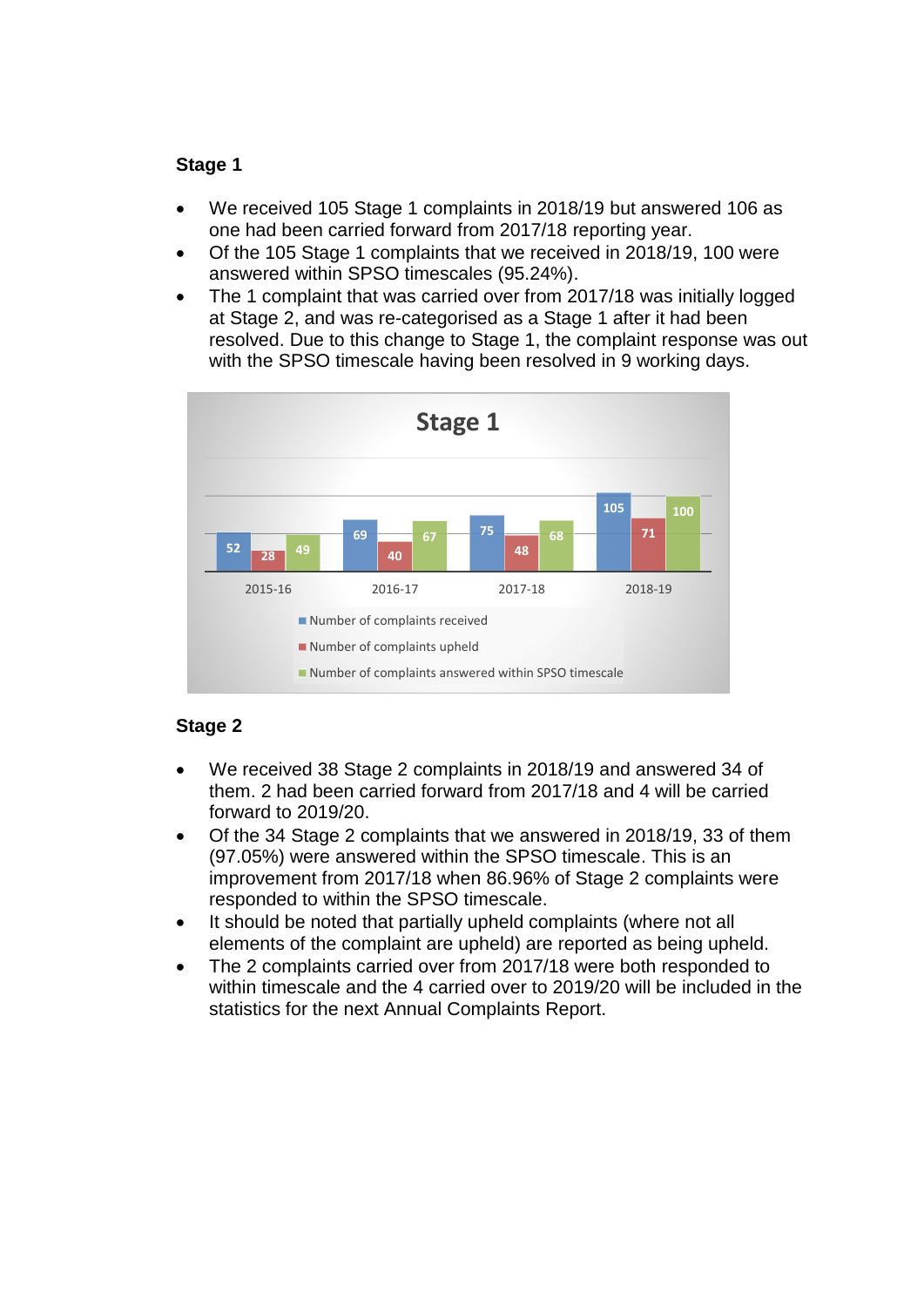## **Stage 1**

- We received 105 Stage 1 complaints in 2018/19 but answered 106 as one had been carried forward from 2017/18 reporting year.
- Of the 105 Stage 1 complaints that we received in 2018/19, 100 were answered within SPSO timescales (95.24%).
- The 1 complaint that was carried over from 2017/18 was initially logged at Stage 2, and was re-categorised as a Stage 1 after it had been resolved. Due to this change to Stage 1, the complaint response was out with the SPSO timescale having been resolved in 9 working days.



## **Stage 2**

- We received 38 Stage 2 complaints in 2018/19 and answered 34 of them. 2 had been carried forward from 2017/18 and 4 will be carried forward to 2019/20.
- Of the 34 Stage 2 complaints that we answered in 2018/19, 33 of them (97.05%) were answered within the SPSO timescale. This is an improvement from 2017/18 when 86.96% of Stage 2 complaints were responded to within the SPSO timescale.
- It should be noted that partially upheld complaints (where not all elements of the complaint are upheld) are reported as being upheld.
- The 2 complaints carried over from 2017/18 were both responded to within timescale and the 4 carried over to 2019/20 will be included in the statistics for the next Annual Complaints Report.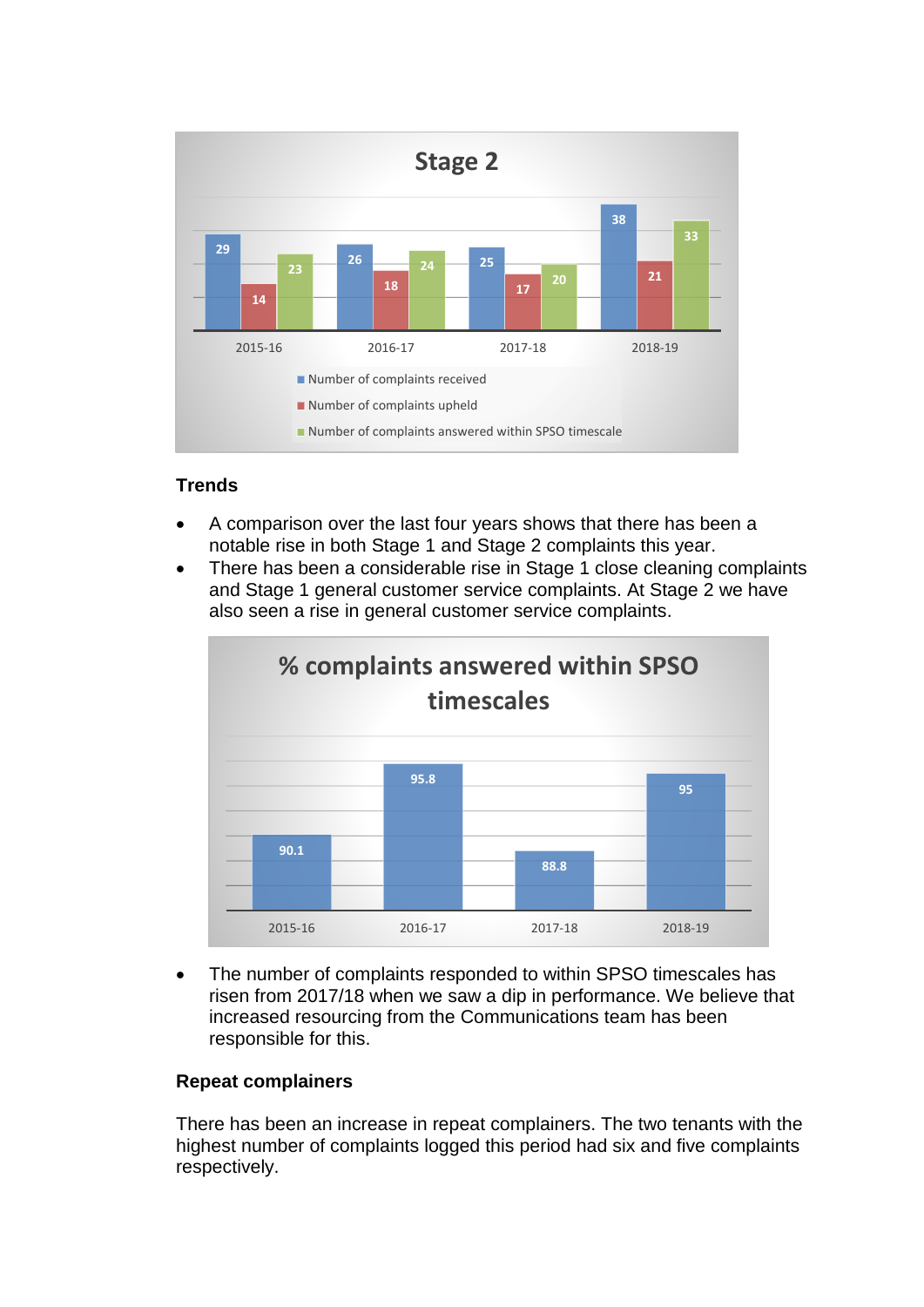

### **Trends**

- A comparison over the last four years shows that there has been a notable rise in both Stage 1 and Stage 2 complaints this year.
- There has been a considerable rise in Stage 1 close cleaning complaints and Stage 1 general customer service complaints. At Stage 2 we have also seen a rise in general customer service complaints.



• The number of complaints responded to within SPSO timescales has risen from 2017/18 when we saw a dip in performance. We believe that increased resourcing from the Communications team has been responsible for this.

### **Repeat complainers**

There has been an increase in repeat complainers. The two tenants with the highest number of complaints logged this period had six and five complaints respectively.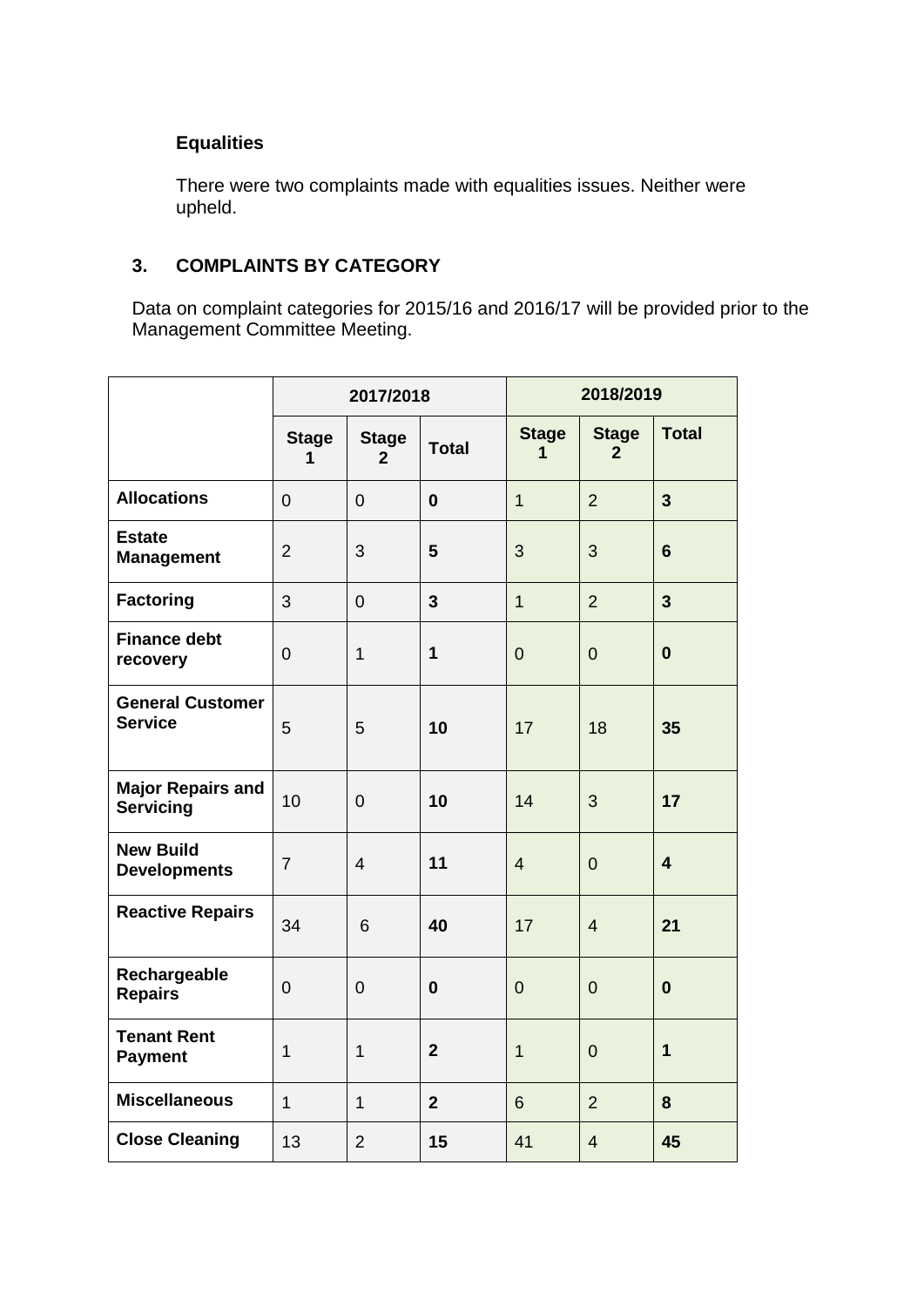# **Equalities**

There were two complaints made with equalities issues. Neither were upheld.

# **3. COMPLAINTS BY CATEGORY**

Data on complaint categories for 2015/16 and 2016/17 will be provided prior to the Management Committee Meeting.

|                                              |                   | 2017/2018                      |                | 2018/2019         |                              |                         |
|----------------------------------------------|-------------------|--------------------------------|----------------|-------------------|------------------------------|-------------------------|
|                                              | <b>Stage</b><br>1 | <b>Stage</b><br>$\overline{2}$ | <b>Total</b>   | <b>Stage</b><br>1 | <b>Stage</b><br>$\mathbf{2}$ | <b>Total</b>            |
| <b>Allocations</b>                           | $\overline{0}$    | $\overline{0}$                 | $\mathbf{0}$   | $\mathbf{1}$      | $\overline{2}$               | $\overline{3}$          |
| <b>Estate</b><br><b>Management</b>           | $\overline{2}$    | 3                              | 5              | 3                 | 3                            | $6\phantom{1}6$         |
| <b>Factoring</b>                             | 3                 | $\overline{0}$                 | 3              | $\mathbf{1}$      | $\overline{2}$               | $\overline{3}$          |
| <b>Finance debt</b><br>recovery              | $\boldsymbol{0}$  | $\mathbf{1}$                   | 1              | $\overline{0}$    | $\overline{0}$               | $\bf{0}$                |
| <b>General Customer</b><br><b>Service</b>    | 5                 | 5                              | 10             | 17                | 18                           | 35                      |
| <b>Major Repairs and</b><br><b>Servicing</b> | 10                | $\overline{0}$                 | 10             | 14                | 3                            | 17                      |
| <b>New Build</b><br><b>Developments</b>      | $\overline{7}$    | $\overline{4}$                 | 11             | $\overline{4}$    | $\overline{0}$               | $\overline{\mathbf{4}}$ |
| <b>Reactive Repairs</b>                      | 34                | 6                              | 40             | 17                | $\overline{4}$               | 21                      |
| Rechargeable<br><b>Repairs</b>               | $\mathbf 0$       | $\overline{0}$                 | $\bf{0}$       | $\overline{0}$    | $\overline{0}$               | $\bf{0}$                |
| <b>Tenant Rent</b><br><b>Payment</b>         | $\mathbf{1}$      | $\mathbf{1}$                   | $\overline{2}$ | $\overline{1}$    | $\overline{0}$               | $\mathbf{1}$            |
| <b>Miscellaneous</b>                         | $\mathbf{1}$      | $\mathbf{1}$                   | $\overline{2}$ | 6                 | $\overline{2}$               | 8                       |
| <b>Close Cleaning</b>                        | 13                | $\overline{2}$                 | 15             | 41                | $\overline{4}$               | 45                      |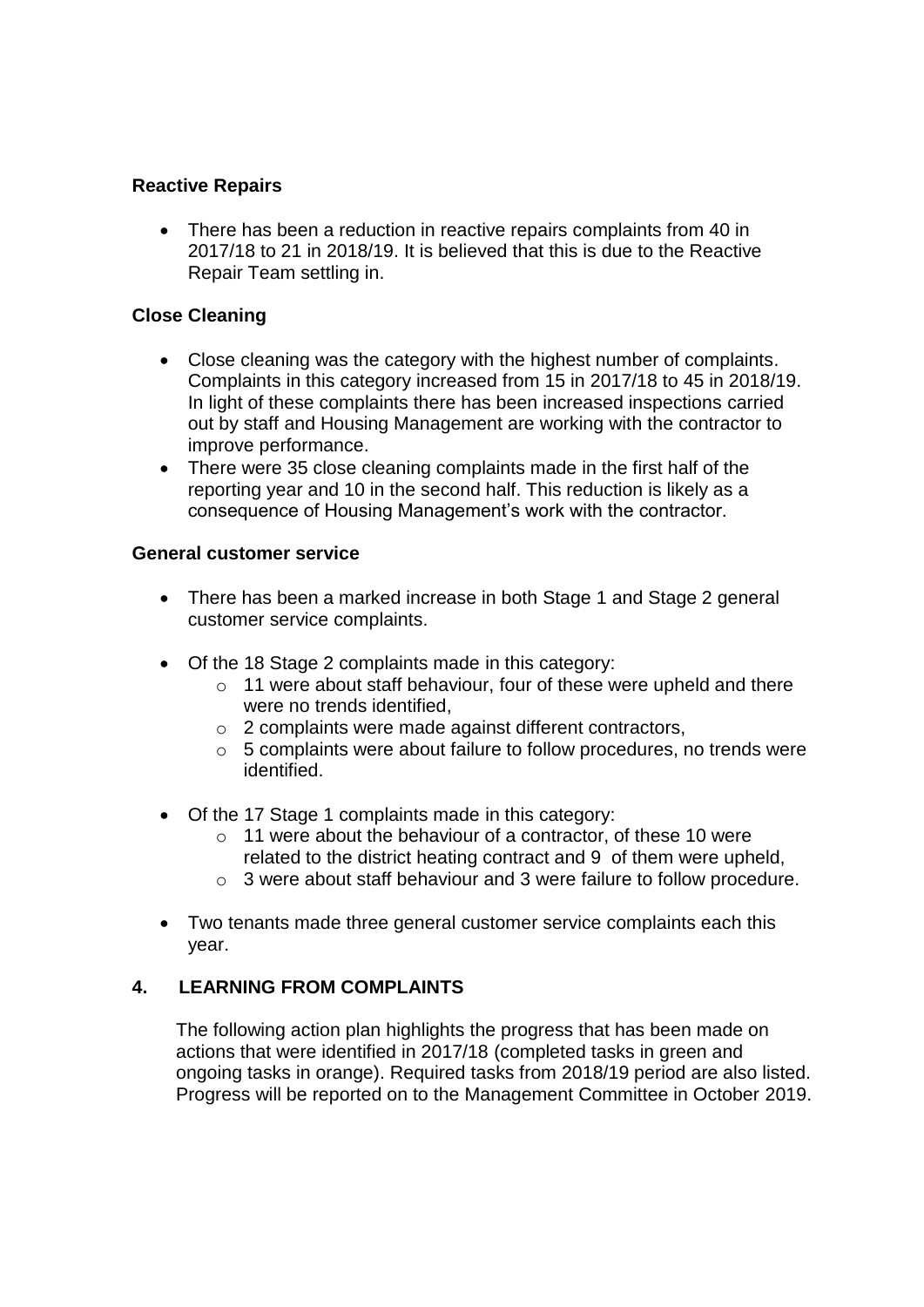## **Reactive Repairs**

• There has been a reduction in reactive repairs complaints from 40 in 2017/18 to 21 in 2018/19. It is believed that this is due to the Reactive Repair Team settling in.

## **Close Cleaning**

- Close cleaning was the category with the highest number of complaints. Complaints in this category increased from 15 in 2017/18 to 45 in 2018/19. In light of these complaints there has been increased inspections carried out by staff and Housing Management are working with the contractor to improve performance.
- There were 35 close cleaning complaints made in the first half of the reporting year and 10 in the second half. This reduction is likely as a consequence of Housing Management's work with the contractor.

#### **General customer service**

- There has been a marked increase in both Stage 1 and Stage 2 general customer service complaints.
- Of the 18 Stage 2 complaints made in this category:
	- o 11 were about staff behaviour, four of these were upheld and there were no trends identified.
	- o 2 complaints were made against different contractors,
	- o 5 complaints were about failure to follow procedures, no trends were identified.
- Of the 17 Stage 1 complaints made in this category:
	- $\circ$  11 were about the behaviour of a contractor, of these 10 were related to the district heating contract and 9 of them were upheld,
	- o 3 were about staff behaviour and 3 were failure to follow procedure.
- Two tenants made three general customer service complaints each this year.

### **4. LEARNING FROM COMPLAINTS**

The following action plan highlights the progress that has been made on actions that were identified in 2017/18 (completed tasks in green and ongoing tasks in orange). Required tasks from 2018/19 period are also listed. Progress will be reported on to the Management Committee in October 2019.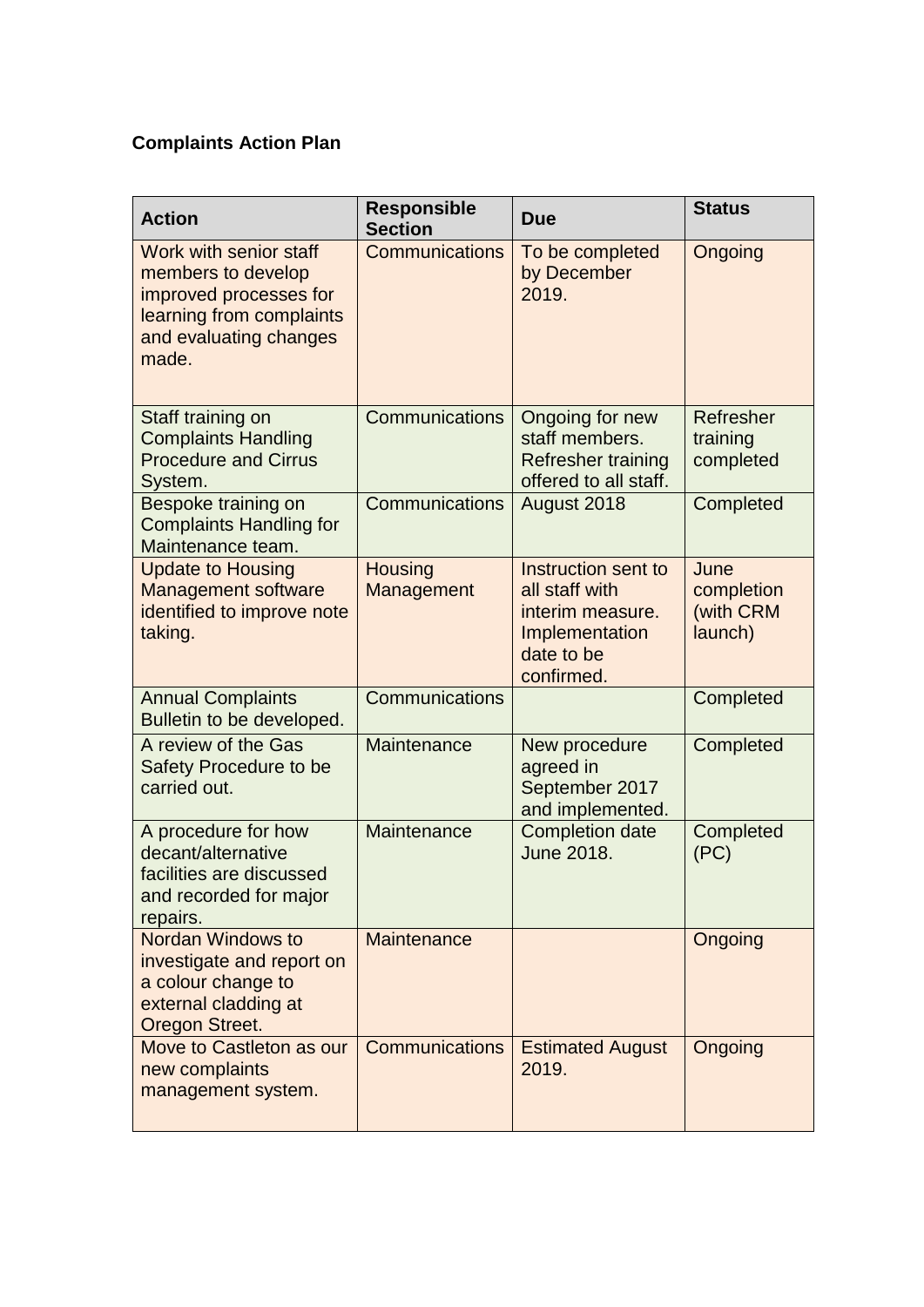# **Complaints Action Plan**

| <b>Action</b>                                                                                                                         | <b>Responsible</b><br><b>Section</b> | <b>Due</b>                                                                                              | <b>Status</b>                              |
|---------------------------------------------------------------------------------------------------------------------------------------|--------------------------------------|---------------------------------------------------------------------------------------------------------|--------------------------------------------|
| Work with senior staff<br>members to develop<br>improved processes for<br>learning from complaints<br>and evaluating changes<br>made. | <b>Communications</b>                | To be completed<br>by December<br>2019.                                                                 | Ongoing                                    |
| Staff training on<br><b>Complaints Handling</b><br><b>Procedure and Cirrus</b><br>System.                                             | <b>Communications</b>                | Ongoing for new<br>staff members.<br><b>Refresher training</b><br>offered to all staff.                 | Refresher<br>training<br>completed         |
| Bespoke training on<br><b>Complaints Handling for</b><br>Maintenance team.                                                            | Communications                       | August 2018                                                                                             | Completed                                  |
| <b>Update to Housing</b><br><b>Management software</b><br>identified to improve note<br>taking.                                       | <b>Housing</b><br>Management         | Instruction sent to<br>all staff with<br>interim measure.<br>Implementation<br>date to be<br>confirmed. | June<br>completion<br>(with CRM<br>launch) |
| <b>Annual Complaints</b><br>Bulletin to be developed.                                                                                 | Communications                       |                                                                                                         | Completed                                  |
| A review of the Gas<br>Safety Procedure to be<br>carried out.                                                                         | Maintenance                          | New procedure<br>agreed in<br>September 2017<br>and implemented.                                        | Completed                                  |
| A procedure for how<br>decant/alternative<br>facilities are discussed<br>and recorded for major<br>repairs.                           | Maintenance                          | <b>Completion date</b><br>June 2018.                                                                    | Completed<br>(PC)                          |
| <b>Nordan Windows to</b><br>investigate and report on<br>a colour change to<br>external cladding at<br>Oregon Street.                 | <b>Maintenance</b>                   |                                                                                                         | Ongoing                                    |
| Move to Castleton as our<br>new complaints<br>management system.                                                                      | <b>Communications</b>                | <b>Estimated August</b><br>2019.                                                                        | Ongoing                                    |